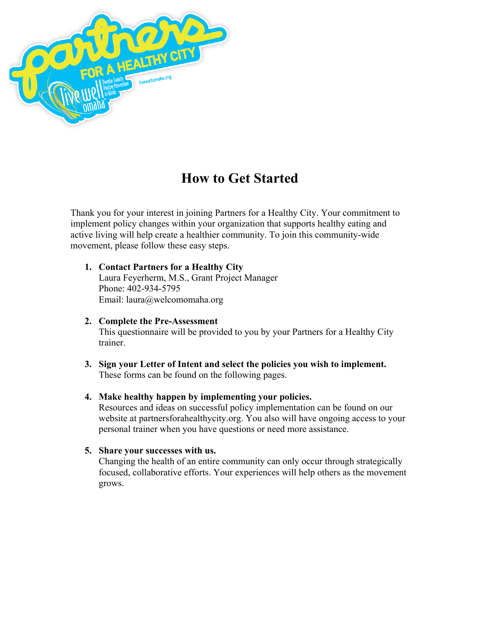

# **How to Get Started**

Thank you for your interest in joining Partners for a Healthy City. Your commitment to implement policy changes within your organization that supports healthy eating and active living will help create a healthier community. To join this community-wide movement, please follow these easy steps.

#### **1. Contact Partners for a Healthy City** Laura Feyerherm, M.S., Grant Project Manager Phone: 402-934-5795 Email: laura@welcomomaha.org

- **2. Complete the Pre-Assessment** This questionnaire will be provided to you by your Partners for a Healthy City trainer.
- **3. Sign your Letter of Intent and select the policies you wish to implement.** These forms can be found on the following pages.

### **4. Make healthy happen by implementing your policies.**

Resources and ideas on successful policy implementation can be found on our website at partnersforahealthycity.org. You also will have ongoing access to your personal trainer when you have questions or need more assistance.

### **5. Share your successes with us.**

Changing the health of an entire community can only occur through strategically focused, collaborative efforts. Your experiences will help others as the movement grows.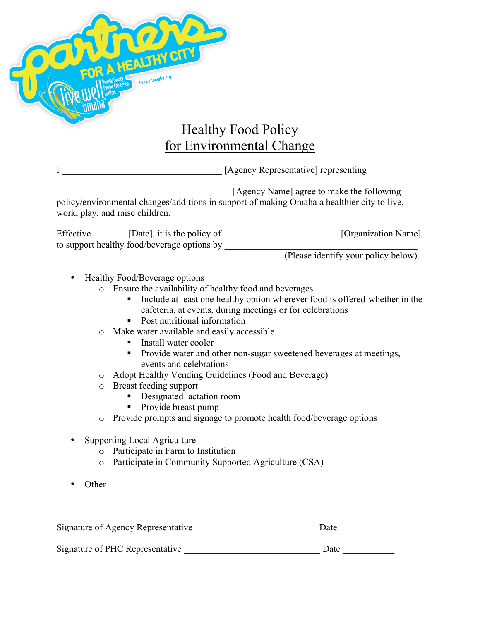

## Healthy Food Policy for Environmental Change

I \_\_\_\_\_\_\_\_\_\_\_\_\_\_\_\_\_\_\_\_\_\_\_\_\_\_\_\_\_\_\_\_\_\_ [Agency Representative] representing

\_\_\_\_\_\_\_\_\_\_\_\_\_\_\_\_\_\_\_\_\_\_\_\_\_\_\_\_\_\_\_\_\_\_\_\_\_ [Agency Name] agree to make the following policy/environmental changes/additions in support of making Omaha a healthier city to live, work, play, and raise children.

| Effective | [Date], it is the policy of                 | [Organization Name] |
|-----------|---------------------------------------------|---------------------|
|           | to support healthy food/beverage options by |                     |

\_\_\_\_\_\_\_\_\_\_\_\_\_\_\_\_\_\_\_\_\_\_\_\_\_\_\_\_\_\_\_\_\_\_\_\_\_\_\_\_\_\_\_\_\_\_\_\_ (Please identify your policy below).

- Healthy Food/Beverage options
	- o Ensure the availability of healthy food and beverages
		- ! Include at least one healthy option wherever food is offered-whether in the cafeteria, at events, during meetings or for celebrations
		- Post nutritional information
	- o Make water available and easily accessible
		- **Install water cooler**
		- ! Provide water and other non-sugar sweetened beverages at meetings, events and celebrations
	- o Adopt Healthy Vending Guidelines (Food and Beverage)
	- o Breast feeding support
		- ! Designated lactation room
		- Provide breast pump
	- o Provide prompts and signage to promote health food/beverage options
- Supporting Local Agriculture
	- o Participate in Farm to Institution
	- o Participate in Community Supported Agriculture (CSA)
- Other \_\_\_\_\_\_\_\_\_\_\_\_\_\_\_\_\_\_\_\_\_\_\_\_\_\_\_\_\_\_\_\_\_\_\_\_\_\_\_\_\_\_\_\_\_\_\_\_\_\_\_\_\_\_\_\_\_\_\_\_

| Signature of Agency Representative | Date |  |
|------------------------------------|------|--|
|                                    |      |  |
| Signature of PHC Representative    | Date |  |